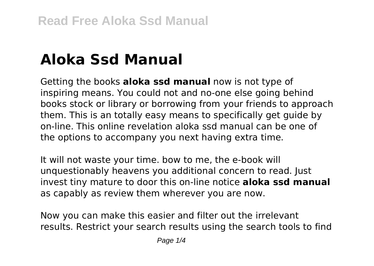# **Aloka Ssd Manual**

Getting the books **aloka ssd manual** now is not type of inspiring means. You could not and no-one else going behind books stock or library or borrowing from your friends to approach them. This is an totally easy means to specifically get guide by on-line. This online revelation aloka ssd manual can be one of the options to accompany you next having extra time.

It will not waste your time. bow to me, the e-book will unquestionably heavens you additional concern to read. Just invest tiny mature to door this on-line notice **aloka ssd manual** as capably as review them wherever you are now.

Now you can make this easier and filter out the irrelevant results. Restrict your search results using the search tools to find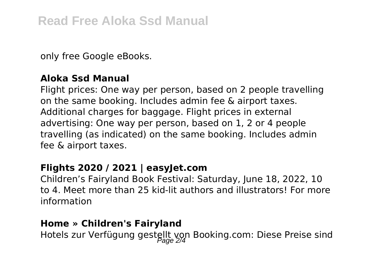only free Google eBooks.

## **Aloka Ssd Manual**

Flight prices: One way per person, based on 2 people travelling on the same booking. Includes admin fee & airport taxes. Additional charges for baggage. Flight prices in external advertising: One way per person, based on 1, 2 or 4 people travelling (as indicated) on the same booking. Includes admin fee & airport taxes.

# **Flights 2020 / 2021 | easyJet.com**

Children's Fairyland Book Festival: Saturday, June 18, 2022, 10 to 4. Meet more than 25 kid-lit authors and illustrators! For more information

#### **Home » Children's Fairyland**

Hotels zur Verfügung gestellt von Booking.com: Diese Preise sind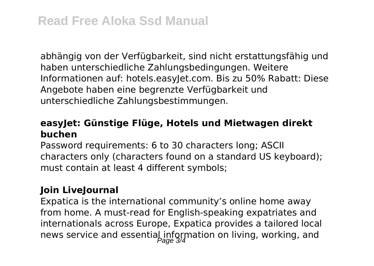abhängig von der Verfügbarkeit, sind nicht erstattungsfähig und haben unterschiedliche Zahlungsbedingungen. Weitere Informationen auf: hotels.easyJet.com. Bis zu 50% Rabatt: Diese Angebote haben eine begrenzte Verfügbarkeit und unterschiedliche Zahlungsbestimmungen.

# **easyJet: Günstige Flüge, Hotels und Mietwagen direkt buchen**

Password requirements: 6 to 30 characters long; ASCII characters only (characters found on a standard US keyboard); must contain at least 4 different symbols;

# **Join LiveJournal**

Expatica is the international community's online home away from home. A must-read for English-speaking expatriates and internationals across Europe, Expatica provides a tailored local news service and essential information on living, working, and